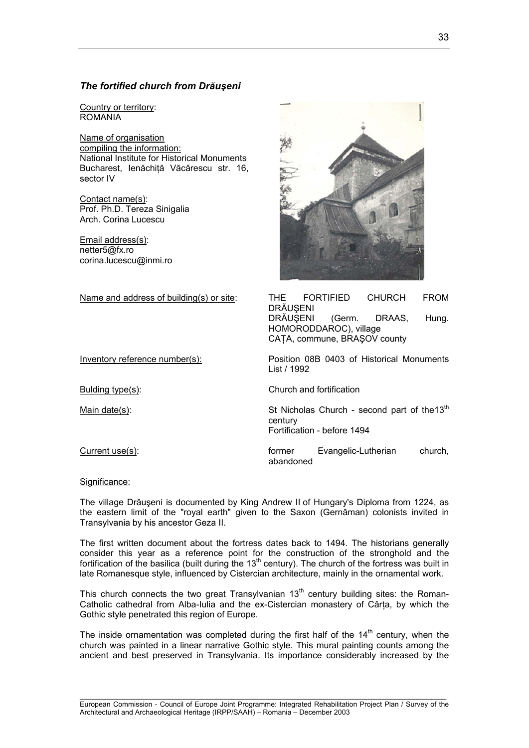# *The fortified church from Drăuşeni*

Country or territory: ROMANIA

Name of organisation compiling the information: National Institute for Historical Monuments Bucharest, Ienăchiţă Văcărescu str. 16, sector IV

Contact name(s): Prof. Ph.D. Tereza Sinigalia Arch. Corina Lucescu

Email address(s): netter5@fx.ro corina.lucescu@inmi.ro



Name and address of building(s) or site: THE FORTIFIED CHURCH FROM **DRĂUSENI** DRĂUŞENI (Germ. DRAAS, Hung. HOMORODDAROC), village CATA, commune, BRASOV county

Inventory reference number(s): Position 08B 0403 of Historical Monuments List / 1992

Bulding type(s): Church and fortification

Main date(s):  $\blacksquare$  St Nicholas Church - second part of the 13<sup>th</sup> century Fortification - before 1494

Current use(s): former Evangelic-Lutherian church, abandoned

Significance:

The village Drăuşeni is documented by King Andrew II of Hungary's Diploma from 1224, as the eastern limit of the "royal earth" given to the Saxon (Gernâman) colonists invited in Transylvania by his ancestor Geza II.

The first written document about the fortress dates back to 1494. The historians generally consider this year as a reference point for the construction of the stronghold and the fortification of the basilica (built during the 13th century). The church of the fortress was built in late Romanesque style, influenced by Cistercian architecture, mainly in the ornamental work.

This church connects the two great Transylvanian  $13<sup>th</sup>$  century building sites: the Roman-Catholic cathedral from Alba-Iulia and the ex-Cistercian monastery of Cârţa, by which the Gothic style penetrated this region of Europe.

The inside ornamentation was completed during the first half of the  $14<sup>th</sup>$  century, when the church was painted in a linear narrative Gothic style. This mural painting counts among the ancient and best preserved in Transylvania. Its importance considerably increased by the

 $\_$  , and the set of the set of the set of the set of the set of the set of the set of the set of the set of the set of the set of the set of the set of the set of the set of the set of the set of the set of the set of th European Commission - Council of Europe Joint Programme: Integrated Rehabilitation Project Plan / Survey of the Architectural and Archaeological Heritage (IRPP/SAAH) – Romania – December 2003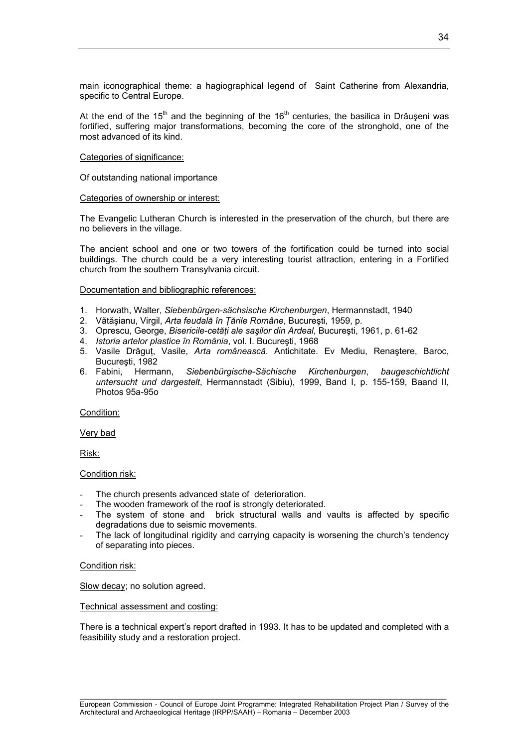main iconographical theme: a hagiographical legend of Saint Catherine from Alexandria, specific to Central Europe.

At the end of the  $15<sup>th</sup>$  and the beginning of the  $16<sup>th</sup>$  centuries, the basilica in Drăuseni was fortified, suffering major transformations, becoming the core of the stronghold, one of the most advanced of its kind.

## Categories of significance:

Of outstanding national importance

## Categories of ownership or interest:

The Evangelic Lutheran Church is interested in the preservation of the church, but there are no believers in the village.

The ancient school and one or two towers of the fortification could be turned into social buildings. The church could be a very interesting tourist attraction, entering in a Fortified church from the southern Transylvania circuit.

## Documentation and bibliographic references:

- 1. Horwath, Walter, *Siebenbürgen-sächsische Kirchenburgen*, Hermannstadt, 1940
- 2. Vătăşianu, Virgil, *Arta feudală în Ţările Române*, Bucureşti, 1959, p.
- 3. Oprescu, George, *Bisericile-cetăţi ale saşilor din Ardeal*, Bucureşti, 1961, p. 61-62
- 4. *Istoria artelor plastice în România*, vol. I. Bucureşti, 1968
- 5. Vasile Drăguţ, Vasile, *Arta românească*. Antichitate. Ev Mediu, Renaştere, Baroc, Bucureşti, 1982
- 6. Fabini, Hermann, *Siebenbürgische-Sächische Kirchenburgen*, *baugeschichtlicht untersucht und dargestelt*, Hermannstadt (Sibiu), 1999, Band I, p. 155-159, Baand II, Photos 95a-95o

# Condition:

Very bad

Risk:

# Condition risk:

- The church presents advanced state of deterioration.
- The wooden framework of the roof is strongly deteriorated.
- The system of stone and brick structural walls and vaults is affected by specific degradations due to seismic movements.
- The lack of longitudinal rigidity and carrying capacity is worsening the church's tendency of separating into pieces.

# Condition risk:

Slow decay; no solution agreed.

## Technical assessment and costing:

There is a technical expert's report drafted in 1993. It has to be updated and completed with a feasibility study and a restoration project.